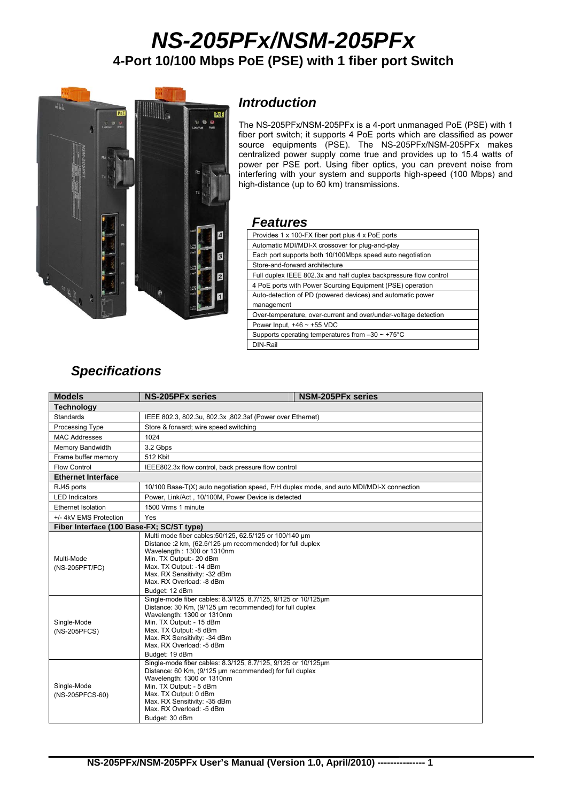# *NS-205PFx/NSM-205PFx*  **4-Port 10/100 Mbps PoE (PSE) with 1 fiber port Switch**



## *Introduction*

The NS-205PFx/NSM-205PFx is a 4-port unmanaged PoE (PSE) with 1 fiber port switch; it supports 4 PoE ports which are classified as power source equipments (PSE). The NS-205PFx/NSM-205PFx makes centralized power supply come true and provides up to 15.4 watts of power per PSE port. Using fiber optics, you can prevent noise from interfering with your system and supports high-speed (100 Mbps) and high-distance (up to 60 km) transmissions.

#### *Features*

| Provides 1 x 100-FX fiber port plus 4 x PoE ports                 |
|-------------------------------------------------------------------|
| Automatic MDI/MDI-X crossover for plug-and-play                   |
| Each port supports both 10/100Mbps speed auto negotiation         |
| Store-and-forward architecture                                    |
| Full duplex IEEE 802.3x and half duplex backpressure flow control |
| 4 PoE ports with Power Sourcing Equipment (PSE) operation         |
| Auto-detection of PD (powered devices) and automatic power        |
| management                                                        |
| Over-temperature, over-current and over/under-voltage detection   |
| Power Input, $+46 \sim +55$ VDC                                   |
| Supports operating temperatures from $-30 \sim +75^{\circ}$ C     |
| DIN-Rail                                                          |
|                                                                   |

# *Specifications*

| <b>Models</b>                             | <b>NS-205PFx series</b><br><b>NSM-205PFx series</b>                                                                                                                                                                                                                                        |  |  |
|-------------------------------------------|--------------------------------------------------------------------------------------------------------------------------------------------------------------------------------------------------------------------------------------------------------------------------------------------|--|--|
| <b>Technology</b>                         |                                                                                                                                                                                                                                                                                            |  |  |
| Standards                                 | IEEE 802.3, 802.3u, 802.3x, 802.3af (Power over Ethernet)                                                                                                                                                                                                                                  |  |  |
| Processing Type                           | Store & forward; wire speed switching                                                                                                                                                                                                                                                      |  |  |
| <b>MAC Addresses</b>                      | 1024                                                                                                                                                                                                                                                                                       |  |  |
| Memory Bandwidth                          | 3.2 Gbps                                                                                                                                                                                                                                                                                   |  |  |
| Frame buffer memory                       | 512 Kbit                                                                                                                                                                                                                                                                                   |  |  |
| <b>Flow Control</b>                       | IEEE802.3x flow control, back pressure flow control                                                                                                                                                                                                                                        |  |  |
| <b>Ethernet Interface</b>                 |                                                                                                                                                                                                                                                                                            |  |  |
| RJ45 ports                                | 10/100 Base-T(X) auto negotiation speed, F/H duplex mode, and auto MDI/MDI-X connection                                                                                                                                                                                                    |  |  |
| <b>LED Indicators</b>                     | Power, Link/Act, 10/100M, Power Device is detected                                                                                                                                                                                                                                         |  |  |
| Ethernet Isolation                        | 1500 Vrms 1 minute                                                                                                                                                                                                                                                                         |  |  |
| +/- 4kV EMS Protection                    | Yes                                                                                                                                                                                                                                                                                        |  |  |
| Fiber Interface (100 Base-FX; SC/ST type) |                                                                                                                                                                                                                                                                                            |  |  |
| Multi-Mode<br>(NS-205PFT/FC)              | Multi mode fiber cables: 50/125, 62.5/125 or 100/140 um<br>Distance : 2 km, (62.5/125 µm recommended) for full duplex<br>Wavelength: 1300 or 1310nm<br>Min. TX Output:- 20 dBm<br>Max. TX Output: -14 dBm<br>Max. RX Sensitivity: -32 dBm<br>Max. RX Overload: -8 dBm<br>Budget: 12 dBm    |  |  |
| Single-Mode<br>(NS-205PFCS)               | Single-mode fiber cables: 8.3/125, 8.7/125, 9/125 or 10/125um<br>Distance: 30 Km, (9/125 µm recommended) for full duplex<br>Wavelength: 1300 or 1310nm<br>Min. TX Output: - 15 dBm<br>Max. TX Output: -8 dBm<br>Max. RX Sensitivity: -34 dBm<br>Max. RX Overload: -5 dBm<br>Budget: 19 dBm |  |  |
| Single-Mode<br>(NS-205PFCS-60)            | Single-mode fiber cables: 8.3/125, 8.7/125, 9/125 or 10/125µm<br>Distance: 60 Km, (9/125 µm recommended) for full duplex<br>Wavelength: 1300 or 1310nm<br>Min. TX Output: - 5 dBm<br>Max. TX Output: 0 dBm<br>Max. RX Sensitivity: -35 dBm<br>Max, RX Overload: -5 dBm<br>Budget: 30 dBm   |  |  |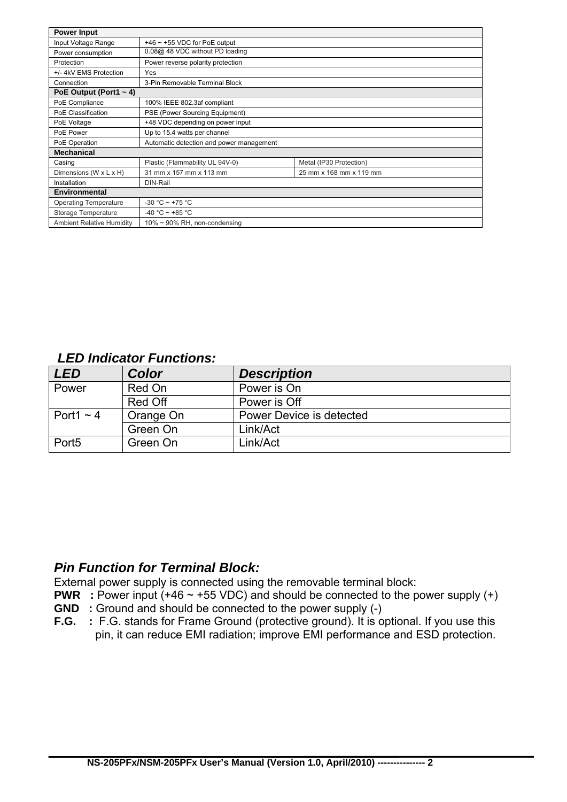| <b>Power Input</b>               |                                          |                         |  |  |
|----------------------------------|------------------------------------------|-------------------------|--|--|
| Input Voltage Range              | $+46$ ~ +55 VDC for PoE output           |                         |  |  |
| Power consumption                | 0.08@ 48 VDC without PD loading          |                         |  |  |
| Protection                       | Power reverse polarity protection        |                         |  |  |
| +/- 4kV EMS Protection           | Yes                                      |                         |  |  |
| Connection                       | 3-Pin Removable Terminal Block           |                         |  |  |
| PoE Output (Port1 $\sim$ 4)      |                                          |                         |  |  |
| PoE Compliance                   | 100% IEEE 802.3af compliant              |                         |  |  |
| PoE Classification               | PSE (Power Sourcing Equipment)           |                         |  |  |
| PoE Voltage                      | +48 VDC depending on power input         |                         |  |  |
| PoE Power                        | Up to 15.4 watts per channel             |                         |  |  |
| PoE Operation                    | Automatic detection and power management |                         |  |  |
| <b>Mechanical</b>                |                                          |                         |  |  |
| Casing                           | Plastic (Flammability UL 94V-0)          | Metal (IP30 Protection) |  |  |
| Dimensions (W x L x H)           | 31 mm x 157 mm x 113 mm                  | 25 mm x 168 mm x 119 mm |  |  |
| Installation                     | DIN-Rail                                 |                         |  |  |
| <b>Environmental</b>             |                                          |                         |  |  |
| <b>Operating Temperature</b>     | $-30 °C \sim +75 °C$                     |                         |  |  |
| Storage Temperature              | -40 °C ~ +85 °C                          |                         |  |  |
| <b>Ambient Relative Humidity</b> | $10\% \sim 90\%$ RH, non-condensing      |                         |  |  |

### *LED Indicator Functions:*

| <b>LED</b>        | Color     | <b>Description</b>       |  |
|-------------------|-----------|--------------------------|--|
| Power             | Red On    | Power is On              |  |
|                   | Red Off   | Power is Off             |  |
| Port1 $\sim$ 4    | Orange On | Power Device is detected |  |
|                   | Green On  | Link/Act                 |  |
| Port <sub>5</sub> | Green On  | Link/Act                 |  |

## *Pin Function for Terminal Block:*

External power supply is connected using the removable terminal block:

- **PWR** : Power input (+46 ~ +55 VDC) and should be connected to the power supply (+)
- **GND** : Ground and should be connected to the power supply (-)
- **F.G.** : F.G. stands for Frame Ground (protective ground). It is optional. If you use this pin, it can reduce EMI radiation; improve EMI performance and ESD protection.